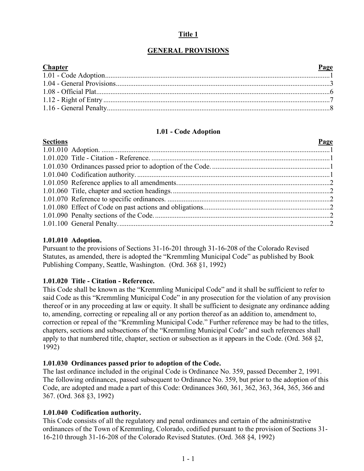## **Title 1**

# **GENERAL PROVISIONS**

| Page<br><b>Chapter</b> |  |
|------------------------|--|
|                        |  |
|                        |  |
|                        |  |
|                        |  |
|                        |  |

# **1.01 - Code Adoption**

<span id="page-0-0"></span>

| <b>Sections</b> | Page |
|-----------------|------|
|                 |      |
|                 |      |
|                 |      |
|                 |      |
|                 |      |
|                 |      |
|                 |      |
|                 |      |
|                 |      |
|                 |      |

#### **1.01.010 Adoption.**

Pursuant to the provisions of Sections 31-16-201 through 31-16-208 of the Colorado Revised Statutes, as amended, there is adopted the "Kremmling Municipal Code" as published by Book Publishing Company, Seattle, Washington. (Ord. 368 §1, 1992)

#### **1.01.020 Title - Citation - Reference.**

This Code shall be known as the "Kremmling Municipal Code" and it shall be sufficient to refer to said Code as this "Kremmling Municipal Code" in any prosecution for the violation of any provision thereof or in any proceeding at law or equity. It shall be sufficient to designate any ordinance adding to, amending, correcting or repealing all or any portion thereof as an addition to, amendment to, correction or repeal of the "Kremmling Municipal Code." Further reference may be had to the titles, chapters, sections and subsections of the "Kremmling Municipal Code" and such references shall apply to that numbered title, chapter, section or subsection as it appears in the Code. (Ord. 368 §2, 1992)

#### **1.01.030 Ordinances passed prior to adoption of the Code.**

The last ordinance included in the original Code is Ordinance No. 359, passed December 2, 1991. The following ordinances, passed subsequent to Ordinance No. 359, but prior to the adoption of this Code, are adopted and made a part of this Code: Ordinances 360, 361, 362, 363, 364, 365, 366 and 367. (Ord. 368 §3, 1992)

## **1.01.040 Codification authority.**

This Code consists of all the regulatory and penal ordinances and certain of the administrative ordinances of the Town of Kremmling, Colorado, codified pursuant to the provision of Sections 31- 16-210 through 31-16-208 of the Colorado Revised Statutes. (Ord. 368 §4, 1992)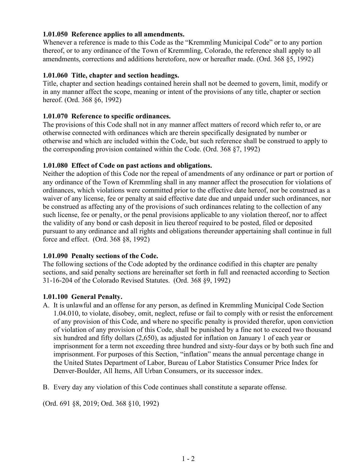## **1.01.050 Reference applies to all amendments.**

Whenever a reference is made to this Code as the "Kremmling Municipal Code" or to any portion thereof, or to any ordinance of the Town of Kremmling, Colorado, the reference shall apply to all amendments, corrections and additions heretofore, now or hereafter made. (Ord. 368 §5, 1992)

### **1.01.060 Title, chapter and section headings.**

Title, chapter and section headings contained herein shall not be deemed to govern, limit, modify or in any manner affect the scope, meaning or intent of the provisions of any title, chapter or section hereof. (Ord. 368 §6, 1992)

### **1.01.070 Reference to specific ordinances.**

The provisions of this Code shall not in any manner affect matters of record which refer to, or are otherwise connected with ordinances which are therein specifically designated by number or otherwise and which are included within the Code, but such reference shall be construed to apply to the corresponding provision contained within the Code. (Ord. 368 §7, 1992)

### **1.01.080 Effect of Code on past actions and obligations.**

Neither the adoption of this Code nor the repeal of amendments of any ordinance or part or portion of any ordinance of the Town of Kremmling shall in any manner affect the prosecution for violations of ordinances, which violations were committed prior to the effective date hereof, nor be construed as a waiver of any license, fee or penalty at said effective date due and unpaid under such ordinances, nor be construed as affecting any of the provisions of such ordinances relating to the collection of any such license, fee or penalty, or the penal provisions applicable to any violation thereof, nor to affect the validity of any bond or cash deposit in lieu thereof required to be posted, filed or deposited pursuant to any ordinance and all rights and obligations thereunder appertaining shall continue in full force and effect. (Ord. 368 §8, 1992)

## **1.01.090 Penalty sections of the Code.**

The following sections of the Code adopted by the ordinance codified in this chapter are penalty sections, and said penalty sections are hereinafter set forth in full and reenacted according to Section 31-16-204 of the Colorado Revised Statutes. (Ord. 368 §9, 1992)

#### **1.01.100 General Penalty.**

- A. It is unlawful and an offense for any person, as defined in Kremmling Municipal Code Section 1.04.010, to violate, disobey, omit, neglect, refuse or fail to comply with or resist the enforcement of any provision of this Code, and where no specific penalty is provided therefor, upon conviction of violation of any provision of this Code, shall be punished by a fine not to exceed two thousand six hundred and fifty dollars (2,650), as adjusted for inflation on January 1 of each year or imprisonment for a term not exceeding three hundred and sixty-four days or by both such fine and imprisonment. For purposes of this Section, "inflation" means the annual percentage change in the United States Department of Labor, Bureau of Labor Statistics Consumer Price Index for Denver-Boulder, All Items, All Urban Consumers, or its successor index.
- B. Every day any violation of this Code continues shall constitute a separate offense.

(Ord. 691 §8, 2019; Ord. 368 §10, 1992)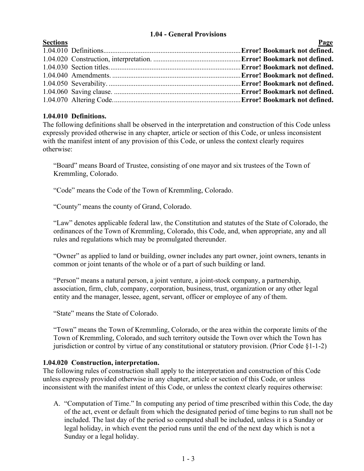## **1.04 - General Provisions**

<span id="page-2-0"></span>

| <b>Sections</b> | <u>Page</u> |
|-----------------|-------------|
|                 |             |
|                 |             |
|                 |             |
|                 |             |
|                 |             |
|                 |             |
|                 |             |
|                 |             |

# **1.04.010 Definitions.**

The following definitions shall be observed in the interpretation and construction of this Code unless expressly provided otherwise in any chapter, article or section of this Code, or unless inconsistent with the manifest intent of any provision of this Code, or unless the context clearly requires otherwise:

"Board" means Board of Trustee, consisting of one mayor and six trustees of the Town of Kremmling, Colorado.

"Code" means the Code of the Town of Kremmling, Colorado.

"County" means the county of Grand, Colorado.

"Law" denotes applicable federal law, the Constitution and statutes of the State of Colorado, the ordinances of the Town of Kremmling, Colorado, this Code, and, when appropriate, any and all rules and regulations which may be promulgated thereunder.

"Owner" as applied to land or building, owner includes any part owner, joint owners, tenants in common or joint tenants of the whole or of a part of such building or land.

"Person" means a natural person, a joint venture, a joint-stock company, a partnership, association, firm, club, company, corporation, business, trust, organization or any other legal entity and the manager, lessee, agent, servant, officer or employee of any of them.

"State" means the State of Colorado.

"Town" means the Town of Kremmling, Colorado, or the area within the corporate limits of the Town of Kremmling, Colorado, and such territory outside the Town over which the Town has jurisdiction or control by virtue of any constitutional or statutory provision. (Prior Code §1-1-2)

## **1.04.020 Construction, interpretation.**

The following rules of construction shall apply to the interpretation and construction of this Code unless expressly provided otherwise in any chapter, article or section of this Code, or unless inconsistent with the manifest intent of this Code, or unless the context clearly requires otherwise:

A. "Computation of Time." In computing any period of time prescribed within this Code, the day of the act, event or default from which the designated period of time begins to run shall not be included. The last day of the period so computed shall be included, unless it is a Sunday or legal holiday, in which event the period runs until the end of the next day which is not a Sunday or a legal holiday.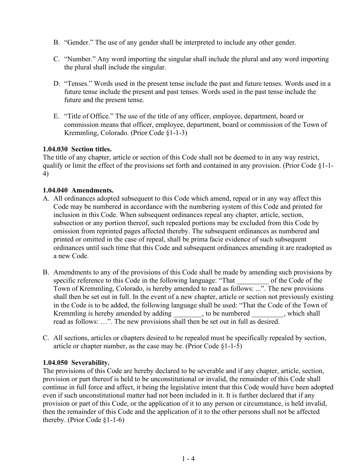- B. "Gender." The use of any gender shall be interpreted to include any other gender.
- C. "Number." Any word importing the singular shall include the plural and any word importing the plural shall include the singular.
- D. "Tenses." Words used in the present tense include the past and future tenses. Words used in a future tense include the present and past tenses. Words used in the past tense include the future and the present tense.
- E. "Title of Office." The use of the title of any officer, employee, department, board or commission means that officer, employee, department, board or commission of the Town of Kremmling, Colorado. (Prior Code §1-1-3)

### **1.04.030 Section titles.**

The title of any chapter, article or section of this Code shall not be deemed to in any way restrict, qualify or limit the effect of the provisions set forth and contained in any provision. (Prior Code §1-1- 4)

### **1.04.040 Amendments.**

- A. All ordinances adopted subsequent to this Code which amend, repeal or in any way affect this Code may be numbered in accordance with the numbering system of this Code and printed for inclusion in this Code. When subsequent ordinances repeal any chapter, article, section, subsection or any portion thereof, such repealed portions may be excluded from this Code by omission from reprinted pages affected thereby. The subsequent ordinances as numbered and printed or omitted in the case of repeal, shall be prima facie evidence of such subsequent ordinances until such time that this Code and subsequent ordinances amending it are readopted as a new Code.
- B. Amendments to any of the provisions of this Code shall be made by amending such provisions by specific reference to this Code in the following language: "That of the Code of the Town of Kremmling, Colorado, is hereby amended to read as follows: ...". The new provisions shall then be set out in full. In the event of a new chapter, article or section not previously existing in the Code is to be added, the following language shall be used: "That the Code of the Town of Kremmling is hereby amended by adding \_\_\_\_\_\_\_\_, to be numbered \_\_\_\_\_\_\_\_, which shall read as follows: …". The new provisions shall then be set out in full as desired.
- C. All sections, articles or chapters desired to be repealed must be specifically repealed by section, article or chapter number, as the case may be. (Prior Code §1-1-5)

#### **1.04.050 Severability.**

The provisions of this Code are hereby declared to be severable and if any chapter, article, section, provision or part thereof is held to be unconstitutional or invalid, the remainder of this Code shall continue in full force and affect, it being the legislative intent that this Code would have been adopted even if such unconstitutional matter had not been included in it. It is further declared that if any provision or part of this Code, or the application of it to any person or circumstance, is held invalid, then the remainder of this Code and the application of it to the other persons shall not be affected thereby. (Prior Code §1-1-6)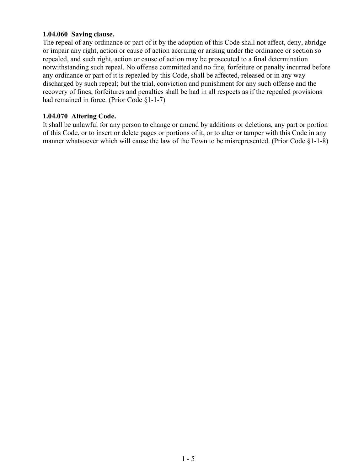#### **1.04.060 Saving clause.**

The repeal of any ordinance or part of it by the adoption of this Code shall not affect, deny, abridge or impair any right, action or cause of action accruing or arising under the ordinance or section so repealed, and such right, action or cause of action may be prosecuted to a final determination notwithstanding such repeal. No offense committed and no fine, forfeiture or penalty incurred before any ordinance or part of it is repealed by this Code, shall be affected, released or in any way discharged by such repeal; but the trial, conviction and punishment for any such offense and the recovery of fines, forfeitures and penalties shall be had in all respects as if the repealed provisions had remained in force. (Prior Code §1-1-7)

## **1.04.070 Altering Code.**

It shall be unlawful for any person to change or amend by additions or deletions, any part or portion of this Code, or to insert or delete pages or portions of it, or to alter or tamper with this Code in any manner whatsoever which will cause the law of the Town to be misrepresented. (Prior Code §1-1-8)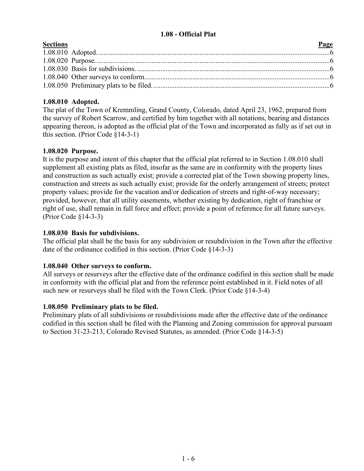## **1.08 - Official Plat**

<span id="page-5-0"></span>

| <b>Sections</b> | Page |
|-----------------|------|
|                 |      |
|                 |      |
|                 |      |
|                 |      |
|                 |      |

# **1.08.010 Adopted.**

The plat of the Town of Kremmling, Grand County, Colorado, dated April 23, 1962, prepared from the survey of Robert Scarrow, and certified by him together with all notations, bearing and distances appearing thereon, is adopted as the official plat of the Town and incorporated as fully as if set out in this section. (Prior Code §14-3-1)

## **1.08.020 Purpose.**

It is the purpose and intent of this chapter that the official plat referred to in Section 1.08.010 shall supplement all existing plats as filed, insofar as the same are in conformity with the property lines and construction as such actually exist; provide a corrected plat of the Town showing property lines, construction and streets as such actually exist; provide for the orderly arrangement of streets; protect property values; provide for the vacation and/or dedication of streets and right-of-way necessary; provided, however, that all utility easements, whether existing by dedication, right of franchise or right of use, shall remain in full force and effect; provide a point of reference for all future surveys. (Prior Code §14-3-3)

## **1.08.030 Basis for subdivisions.**

The official plat shall be the basis for any subdivision or resubdivision in the Town after the effective date of the ordinance codified in this section. (Prior Code §14-3-3)

## **1.08.040 Other surveys to conform.**

All surveys or resurveys after the effective date of the ordinance codified in this section shall be made in conformity with the official plat and from the reference point established in it. Field notes of all such new or resurveys shall be filed with the Town Clerk. (Prior Code §14-3-4)

## **1.08.050 Preliminary plats to be filed.**

Preliminary plats of all subdivisions or resubdivisions made after the effective date of the ordinance codified in this section shall be filed with the Planning and Zoning commission for approval pursuant to Section 31-23-213, Colorado Revised Statutes, as amended. (Prior Code §14-3-5)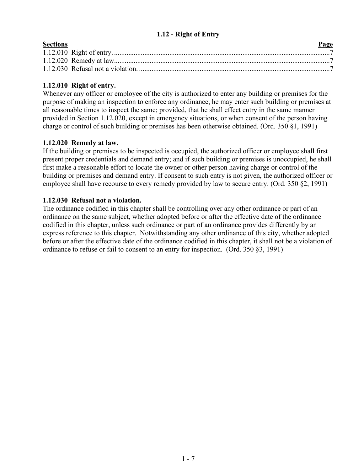# **1.12 - Right of Entry**

<span id="page-6-0"></span>

| <b>Sections</b> | Page |
|-----------------|------|
|                 |      |
|                 |      |
|                 |      |

# **1.12.010 Right of entry.**

Whenever any officer or employee of the city is authorized to enter any building or premises for the purpose of making an inspection to enforce any ordinance, he may enter such building or premises at all reasonable times to inspect the same; provided, that he shall effect entry in the same manner provided in Section 1.12.020, except in emergency situations, or when consent of the person having charge or control of such building or premises has been otherwise obtained. (Ord. 350 §1, 1991)

## **1.12.020 Remedy at law.**

If the building or premises to be inspected is occupied, the authorized officer or employee shall first present proper credentials and demand entry; and if such building or premises is unoccupied, he shall first make a reasonable effort to locate the owner or other person having charge or control of the building or premises and demand entry. If consent to such entry is not given, the authorized officer or employee shall have recourse to every remedy provided by law to secure entry. (Ord. 350 §2, 1991)

# **1.12.030 Refusal not a violation.**

The ordinance codified in this chapter shall be controlling over any other ordinance or part of an ordinance on the same subject, whether adopted before or after the effective date of the ordinance codified in this chapter, unless such ordinance or part of an ordinance provides differently by an express reference to this chapter. Notwithstanding any other ordinance of this city, whether adopted before or after the effective date of the ordinance codified in this chapter, it shall not be a violation of ordinance to refuse or fail to consent to an entry for inspection. (Ord. 350 §3, 1991)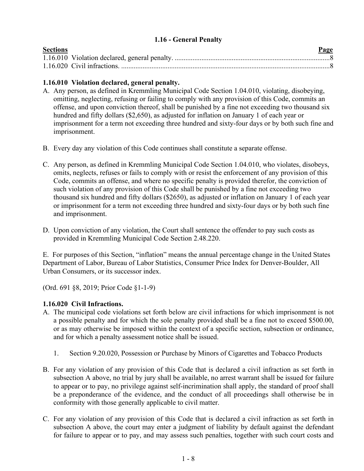## <span id="page-7-1"></span>**1.16 - General Penalty**

<span id="page-7-0"></span>

| <b>Sections</b> | Page |
|-----------------|------|
|                 |      |
|                 |      |

## **1.16.010 Violation declared, general penalty.**

- A. Any person, as defined in Kremmling Municipal Code Section 1.04.010, violating, disobeying, omitting, neglecting, refusing or failing to comply with any provision of this Code, commits an offense, and upon conviction thereof, shall be punished by a fine not exceeding two thousand six hundred and fifty dollars (\$2,650), as adjusted for inflation on January 1 of each year or imprisonment for a term not exceeding three hundred and sixty-four days or by both such fine and imprisonment.
- B. Every day any violation of this Code continues shall constitute a separate offense.
- C. Any person, as defined in Kremmling Municipal Code Section 1.04.010, who violates, disobeys, omits, neglects, refuses or fails to comply with or resist the enforcement of any provision of this Code, commits an offense, and where no specific penalty is provided therefor, the conviction of such violation of any provision of this Code shall be punished by a fine not exceeding two thousand six hundred and fifty dollars (\$2650), as adjusted or inflation on January 1 of each year or imprisonment for a term not exceeding three hundred and sixty-four days or by both such fine and imprisonment.
- D. Upon conviction of any violation, the Court shall sentence the offender to pay such costs as provided in Kremmling Municipal Code Section 2.48.220.

E. For purposes of this Section, "inflation" means the annual percentage change in the United States Department of Labor, Bureau of Labor Statistics, Consumer Price Index for Denver-Boulder, All Urban Consumers, or its successor index.

(Ord. 691 §8, 2019; Prior Code §1-1-9)

# **1.16.020 Civil Infractions.**

- A. The municipal code violations set forth below are civil infractions for which imprisonment is not a possible penalty and for which the sole penalty provided shall be a fine not to exceed \$500.00, or as may otherwise be imposed within the context of a specific section, subsection or ordinance, and for which a penalty assessment notice shall be issued.
	- 1. Section 9.20.020, Possession or Purchase by Minors of Cigarettes and Tobacco Products
- B. For any violation of any provision of this Code that is declared a civil infraction as set forth in subsection A above, no trial by jury shall be available, no arrest warrant shall be issued for failure to appear or to pay, no privilege against self-incrimination shall apply, the standard of proof shall be a preponderance of the evidence, and the conduct of all proceedings shall otherwise be in conformity with those generally applicable to civil matter.
- C. For any violation of any provision of this Code that is declared a civil infraction as set forth in subsection A above, the court may enter a judgment of liability by default against the defendant for failure to appear or to pay, and may assess such penalties, together with such court costs and